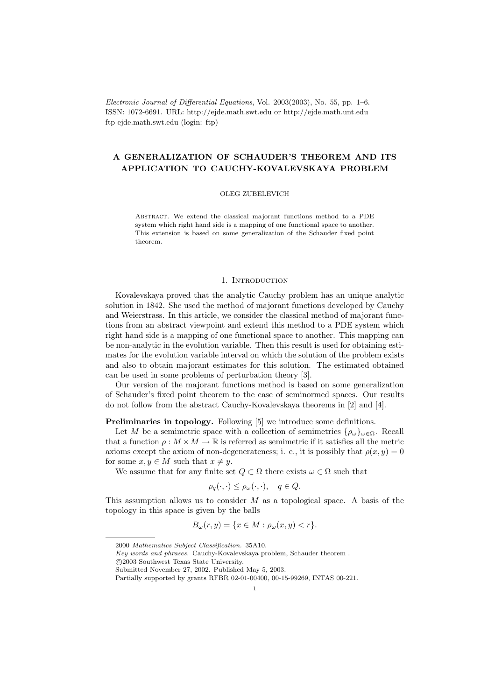Electronic Journal of Differential Equations, Vol. 2003(2003), No. 55, pp. 1–6. ISSN: 1072-6691. URL: http://ejde.math.swt.edu or http://ejde.math.unt.edu ftp ejde.math.swt.edu (login: ftp)

# A GENERALIZATION OF SCHAUDER'S THEOREM AND ITS APPLICATION TO CAUCHY-KOVALEVSKAYA PROBLEM

#### OLEG ZUBELEVICH

Abstract. We extend the classical majorant functions method to a PDE system which right hand side is a mapping of one functional space to another. This extension is based on some generalization of the Schauder fixed point theorem.

# 1. INTRODUCTION

Kovalevskaya proved that the analytic Cauchy problem has an unique analytic solution in 1842. She used the method of majorant functions developed by Cauchy and Weierstrass. In this article, we consider the classical method of majorant functions from an abstract viewpoint and extend this method to a PDE system which right hand side is a mapping of one functional space to another. This mapping can be non-analytic in the evolution variable. Then this result is used for obtaining estimates for the evolution variable interval on which the solution of the problem exists and also to obtain majorant estimates for this solution. The estimated obtained can be used in some problems of perturbation theory [3].

Our version of the majorant functions method is based on some generalization of Schauder's fixed point theorem to the case of seminormed spaces. Our results do not follow from the abstract Cauchy-Kovalevskaya theorems in [2] and [4].

Preliminaries in topology. Following [5] we introduce some definitions.

Let M be a semimetric space with a collection of semimetrics  $\{\rho_\omega\}_{\omega \in \Omega}$ . Recall that a function  $\rho: M \times M \to \mathbb{R}$  is referred as semimetric if it satisfies all the metric axioms except the axiom of non-degenerateness; i. e., it is possibly that  $\rho(x, y) = 0$ for some  $x, y \in M$  such that  $x \neq y$ .

We assume that for any finite set  $Q \subset \Omega$  there exists  $\omega \in \Omega$  such that

$$
\rho_q(\cdot,\cdot) \le \rho_\omega(\cdot,\cdot), \quad q \in Q.
$$

This assumption allows us to consider  $M$  as a topological space. A basis of the topology in this space is given by the balls

$$
B_{\omega}(r, y) = \{x \in M : \rho_{\omega}(x, y) < r\}.
$$

<sup>2000</sup> Mathematics Subject Classification. 35A10.

Key words and phrases. Cauchy-Kovalevskaya problem, Schauder theorem .

c 2003 Southwest Texas State University.

Submitted November 27, 2002. Published May 5, 2003.

Partially supported by grants RFBR 02-01-00400, 00-15-99269, INTAS 00-221.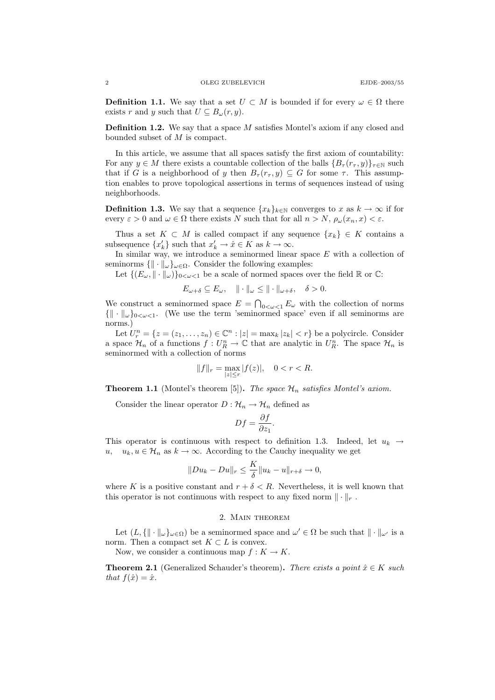**Definition 1.1.** We say that a set  $U \subset M$  is bounded if for every  $\omega \in \Omega$  there exists r and y such that  $U \subseteq B_{\omega}(r, y)$ .

Definition 1.2. We say that a space M satisfies Montel's axiom if any closed and bounded subset of M is compact.

In this article, we assume that all spaces satisfy the first axiom of countability: For any  $y \in M$  there exists a countable collection of the balls  ${B_{\tau}(r_{\tau}, y)}_{\tau \in \mathbb{N}}$  such that if G is a neighborhood of y then  $B_{\tau}(r_{\tau}, y) \subseteq G$  for some  $\tau$ . This assumption enables to prove topological assertions in terms of sequences instead of using neighborhoods.

**Definition 1.3.** We say that a sequence  $\{x_k\}_{k\in\mathbb{N}}$  converges to x as  $k \to \infty$  if for every  $\varepsilon > 0$  and  $\omega \in \Omega$  there exists N such that for all  $n > N$ ,  $\rho_{\omega}(x_n, x) < \varepsilon$ .

Thus a set  $K \subset M$  is called compact if any sequence  $\{x_k\} \in K$  contains a subsequence  $\{x'_k\}$  such that  $x'_k \to \hat{x} \in K$  as  $k \to \infty$ .

In similar way, we introduce a seminormed linear space  $E$  with a collection of seminorms  $\{ \| \cdot \|_{\omega} \}_{\omega \in \Omega}$ . Consider the following examples:

Let  $\{(E_{\omega}, \|\cdot\|_{\omega})\}_{0<\omega<1}$  be a scale of normed spaces over the field  $\mathbb R$  or  $\mathbb C$ :

$$
E_{\omega+\delta} \subseteq E_{\omega}, \quad \|\cdot\|_{\omega} \le \|\cdot\|_{\omega+\delta}, \quad \delta > 0.
$$

We construct a seminormed space  $E = \bigcap_{0 \leq \omega \leq 1} E_{\omega}$  with the collection of norms  $\{\|\cdot\|_{\omega}\}_{0\leq \omega\leq 1}$ . (We use the term 'seminormed space' even if all seminorms are norms.)

Let  $U_r^n = \{z = (z_1, \ldots, z_n) \in \mathbb{C}^n : |z| = \max_k |z_k| < r\}$  be a polycircle. Consider a space  $\mathcal{H}_n$  of a functions  $f: U_R^n \to \mathbb{C}$  that are analytic in  $U_R^n$ . The space  $\mathcal{H}_n$  is seminormed with a collection of norms

$$
||f||_r=\max_{|z|\leq r}|f(z)|,\quad 0
$$

**Theorem 1.1** (Montel's theorem [5]). The space  $\mathcal{H}_n$  satisfies Montel's axiom.

Consider the linear operator  $D : \mathcal{H}_n \to \mathcal{H}_n$  defined as

$$
Df = \frac{\partial f}{\partial z_1}.
$$

This operator is continuous with respect to definition 1.3. Indeed, let  $u_k \rightarrow$ u,  $u_k, u \in \mathcal{H}_n$  as  $k \to \infty$ . According to the Cauchy inequality we get

$$
||Du_k - Du||_r \le \frac{K}{\delta} ||u_k - u||_{r+\delta} \to 0,
$$

where K is a positive constant and  $r + \delta < R$ . Nevertheless, it is well known that this operator is not continuous with respect to any fixed norm  $\|\cdot\|_r$ .

### 2. Main theorem

Let  $(L, \{ \| \cdot \|_{\omega} \}_{\omega \in \Omega})$  be a seminormed space and  $\omega' \in \Omega$  be such that  $\| \cdot \|_{\omega'}$  is a norm. Then a compact set  $K \subset L$  is convex.

Now, we consider a continuous map  $f: K \to K$ .

**Theorem 2.1** (Generalized Schauder's theorem). There exists a point  $\hat{x} \in K$  such that  $f(\hat{x}) = \hat{x}$ .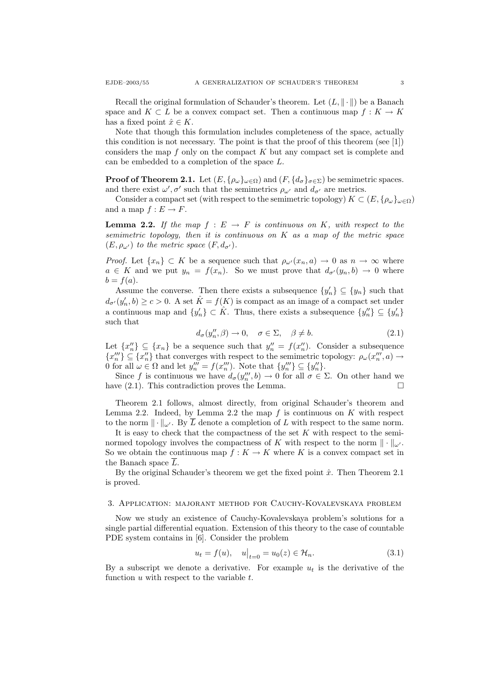Recall the original formulation of Schauder's theorem. Let  $(L, \|\cdot\|)$  be a Banach space and  $K \subset L$  be a convex compact set. Then a continuous map  $f: K \to K$ has a fixed point  $\hat{x} \in K$ .

Note that though this formulation includes completeness of the space, actually this condition is not necessary. The point is that the proof of this theorem (see [1]) considers the map  $f$  only on the compact  $K$  but any compact set is complete and can be embedded to a completion of the space L.

**Proof of Theorem 2.1.** Let  $(E, \{\rho_\omega\}_{\omega \in \Omega})$  and  $(F, \{d_\sigma\}_{\sigma \in \Sigma})$  be semimetric spaces. and there exist  $\omega', \sigma'$  such that the semimetrics  $\rho_{\omega'}$  and  $d_{\sigma'}$  are metrics.

Consider a compact set (with respect to the semimetric topology)  $K \subset (E, {\rho_\omega}_{\omega \in \Omega})$ and a map  $f: E \to F$ .

**Lemma 2.2.** If the map  $f : E \to F$  is continuous on K, with respect to the semimetric topology, then it is continuous on  $K$  as a map of the metric space  $(E, \rho_{\omega'})$  to the metric space  $(F, d_{\sigma'})$ .

*Proof.* Let  $\{x_n\} \subset K$  be a sequence such that  $\rho_{\omega'}(x_n, a) \to 0$  as  $n \to \infty$  where  $a \in K$  and we put  $y_n = f(x_n)$ . So we must prove that  $d_{\sigma}(y_n, b) \to 0$  where  $b = f(a).$ 

Assume the converse. Then there exists a subsequence  $\{y'_n\} \subseteq \{y_n\}$  such that  $d_{\sigma'}(y'_n, b) \ge c > 0$ . A set  $\hat{K} = f(K)$  is compact as an image of a compact set under a continuous map and  $\{y'_n\} \subset \hat{K}$ . Thus, there exists a subsequence  $\{y''_n\} \subseteq \{y'_n\}$ such that

$$
d_{\sigma}(y_n'', \beta) \to 0, \quad \sigma \in \Sigma, \quad \beta \neq b. \tag{2.1}
$$

Let  $\{x_n''\} \subseteq \{x_n\}$  be a sequence such that  $y_n'' = f(x_n'')$ . Consider a subsequence  $\{x_n''\}\subseteq \{x_n''\}$  that converges with respect to the semimetric topology:  $\rho_\omega(x_n''',a) \to$ 0 for all  $\omega \in \Omega$  and let  $y_n''' = f(x_n''')$ . Note that  $\{y_n''\} \subseteq \{y_n''\}$ .

Since f is continuous we have  $d_{\sigma}(y''_n, b) \to 0$  for all  $\sigma \in \Sigma$ . On other hand we have  $(2.1)$ . This contradiction proves the Lemma.

Theorem 2.1 follows, almost directly, from original Schauder's theorem and Lemma 2.2. Indeed, by Lemma 2.2 the map  $f$  is continuous on  $K$  with respect to the norm  $\|\cdot\|_{\omega'}$ . By  $\overline{L}$  denote a completion of L with respect to the same norm.

It is easy to check that the compactness of the set  $K$  with respect to the seminormed topology involves the compactness of K with respect to the norm  $\|\cdot\|_{\omega}$ . So we obtain the continuous map  $f: K \to K$  where K is a convex compact set in the Banach space  $\overline{L}$ .

By the original Schauder's theorem we get the fixed point  $\hat{x}$ . Then Theorem 2.1 is proved.

## 3. Application: majorant method for Cauchy-Kovalevskaya problem

Now we study an existence of Cauchy-Kovalevskaya problem's solutions for a single partial differential equation. Extension of this theory to the case of countable PDE system contains in [6]. Consider the problem

$$
u_t = f(u), \quad u|_{t=0} = u_0(z) \in \mathcal{H}_n.
$$
 (3.1)

By a subscript we denote a derivative. For example  $u_t$  is the derivative of the function  $u$  with respect to the variable  $t$ .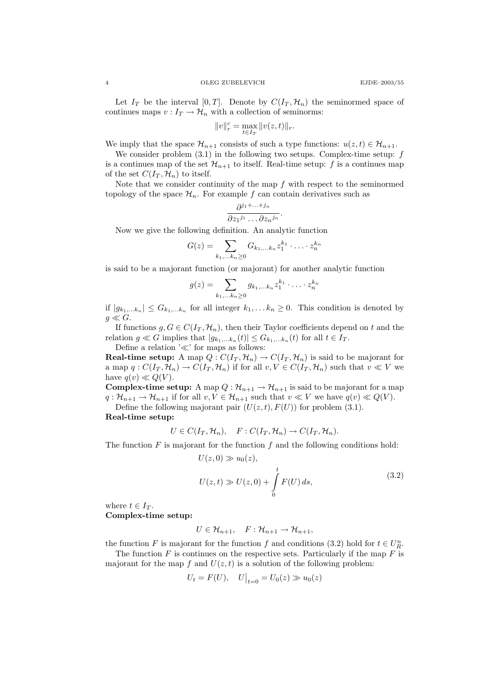#### 4 OLEG ZUBELEVICH EJDE–2003/55

Let  $I_T$  be the interval [0, T]. Denote by  $C(I_T, \mathcal{H}_n)$  the seminormed space of continues maps  $v: I_T \to \mathcal{H}_n$  with a collection of seminorms:

$$
||v||_r^c = \max_{t \in I_T} ||v(z, t)||_r.
$$

We imply that the space  $\mathcal{H}_{n+1}$  consists of such a type functions:  $u(z, t) \in \mathcal{H}_{n+1}$ .

We consider problem  $(3.1)$  in the following two setups. Complex-time setup:  $f$ is a continues map of the set  $\mathcal{H}_{n+1}$  to itself. Real-time setup: f is a continues map of the set  $C(I_T, \mathcal{H}_n)$  to itself.

Note that we consider continuity of the map  $f$  with respect to the seminormed topology of the space  $\mathcal{H}_n$ . For example f can contain derivatives such as

$$
\frac{\partial^{j_1+\ldots+j_n}}{\partial z_1^{j_1}\ldots\partial z_n^{j_n}}.
$$

Now we give the following definition. An analytic function

$$
G(z) = \sum_{k_1,\ldots k_n \geq 0} G_{k_1,\ldots k_n} z_1^{k_1} \cdot \ldots \cdot z_n^{k_n}
$$

is said to be a majorant function (or majorant) for another analytic function

$$
g(z) = \sum_{k_1, \dots, k_n \ge 0} g_{k_1, \dots, k_n} z_1^{k_1} \cdot \dots \cdot z_n^{k_n}
$$

if  $|g_{k_1,...k_n}| \leq G_{k_1,...k_n}$  for all integer  $k_1,...k_n \geq 0$ . This condition is denoted by  $g \ll G$ .

If functions  $g, G \in C(I_T, \mathcal{H}_n)$ , then their Taylor coefficients depend on t and the relation  $g \ll G$  implies that  $|g_{k_1,...k_n}(t)| \leq G_{k_1,...k_n}(t)$  for all  $t \in I_T$ .

Define a relation  $\mathcal{K}'$  for maps as follows:

**Real-time setup:** A map  $Q: C(I_T, \mathcal{H}_n) \to C(I_T, \mathcal{H}_n)$  is said to be majorant for a map  $q: C(I_T, \mathcal{H}_n) \to C(I_T, \mathcal{H}_n)$  if for all  $v, V \in C(I_T, \mathcal{H}_n)$  such that  $v \ll V$  we have  $q(v) \ll Q(V)$ .

**Complex-time setup:** A map  $Q : \mathcal{H}_{n+1} \to \mathcal{H}_{n+1}$  is said to be majorant for a map  $q: \mathcal{H}_{n+1} \to \mathcal{H}_{n+1}$  if for all  $v, V \in \mathcal{H}_{n+1}$  such that  $v \ll V$  we have  $q(v) \ll Q(V)$ .

Define the following majorant pair  $(U(z, t), F(U))$  for problem (3.1).

Real-time setup:

 $U \in C(I_T, \mathcal{H}_n), \quad F: C(I_T, \mathcal{H}_n) \to C(I_T, \mathcal{H}_n).$ 

The function  $F$  is majorant for the function  $f$  and the following conditions hold:

$$
U(z,0) \gg u_0(z),
$$
  
\n
$$
U(z,t) \gg U(z,0) + \int_0^t F(U) ds,
$$
\n(3.2)

where  $t \in I_T$ . Complex-time setup:

$$
U\in\mathcal{H}_{n+1},\quad F:\mathcal{H}_{n+1}\to\mathcal{H}_{n+1},
$$

the function F is majorant for the function f and conditions (3.2) hold for  $t \in U_R^n$ .

The function  $F$  is continues on the respective sets. Particularly if the map  $F$  is majorant for the map f and  $U(z, t)$  is a solution of the following problem:

$$
U_t = F(U)
$$
,  $U|_{t=0} = U_0(z) \gg u_0(z)$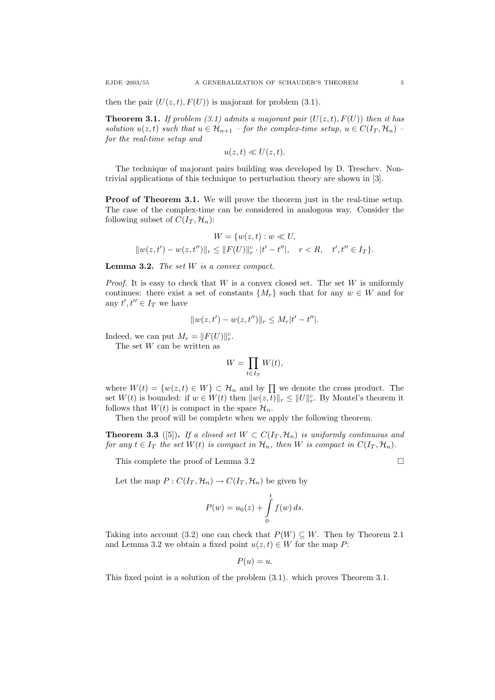then the pair  $(U(z, t), F(U))$  is majorant for problem (3.1).

**Theorem 3.1.** If problem (3.1) admits a majorant pair  $(U(z,t), F(U))$  then it has solution  $u(z, t)$  such that  $u \in \mathcal{H}_{n+1}$  – for the complex-time setup,  $u \in C(I_T, \mathcal{H}_n)$ for the real-time setup and

$$
u(z,t) \ll U(z,t).
$$

The technique of majorant pairs building was developed by D. Treschev. Nontrivial applications of this technique to perturbation theory are shown in [3].

Proof of Theorem 3.1. We will prove the theorem just in the real-time setup. The case of the complex-time can be considered in analogous way. Consider the following subset of  $C(I_T, \mathcal{H}_n)$ :

$$
W = \{w(z, t) : w \ll U,
$$
  

$$
||w(z, t') - w(z, t'')||_r \le ||F(U)||_r^c \cdot |t' - t''|, \quad r < R, \quad t', t'' \in I_T\}.
$$

Lemma 3.2. The set W is a convex compact.

*Proof.* It is easy to check that  $W$  is a convex closed set. The set  $W$  is uniformly continues: there exist a set of constants  $\{M_r\}$  such that for any  $w \in W$  and for any  $t', t'' \in I_T$  we have

$$
||w(z, t') - w(z, t'')||r \le Mr |t' - t''|.
$$

Indeed, we can put  $M_r = ||F(U)||_r^c$ .

The set  $W$  can be written as

$$
W = \prod_{t \in I_T} W(t),
$$

where  $W(t) = \{w(z, t) \in W\} \subset \mathcal{H}_n$  and by  $\prod$  we denote the cross product. The set  $W(t)$  is bounded: if  $w \in W(t)$  then  $||w(z, t)||_r \leq ||U||_r^c$ . By Montel's theorem it follows that  $W(t)$  is compact in the space  $\mathcal{H}_n$ .

Then the proof will be complete when we apply the following theorem.

**Theorem 3.3** ([5]). If a closed set  $W \subset C(I_T, \mathcal{H}_n)$  is uniformly continuous and for any  $t \in I_T$  the set  $W(t)$  is compact in  $\mathcal{H}_n$ , then W is compact in  $C(I_T, \mathcal{H}_n)$ .

This complete the proof of Lemma 3.2

Let the map  $P: C(I_T, \mathcal{H}_n) \to C(I_T, \mathcal{H}_n)$  be given by

$$
P(w) = u_0(z) + \int_0^t f(w) ds.
$$

Taking into account (3.2) one can check that  $P(W) \subseteq W$ . Then by Theorem 2.1 and Lemma 3.2 we obtain a fixed point  $u(z, t) \in W$  for the map P:

$$
P(u) = u.
$$

This fixed point is a solution of the problem (3.1). which proves Theorem 3.1.